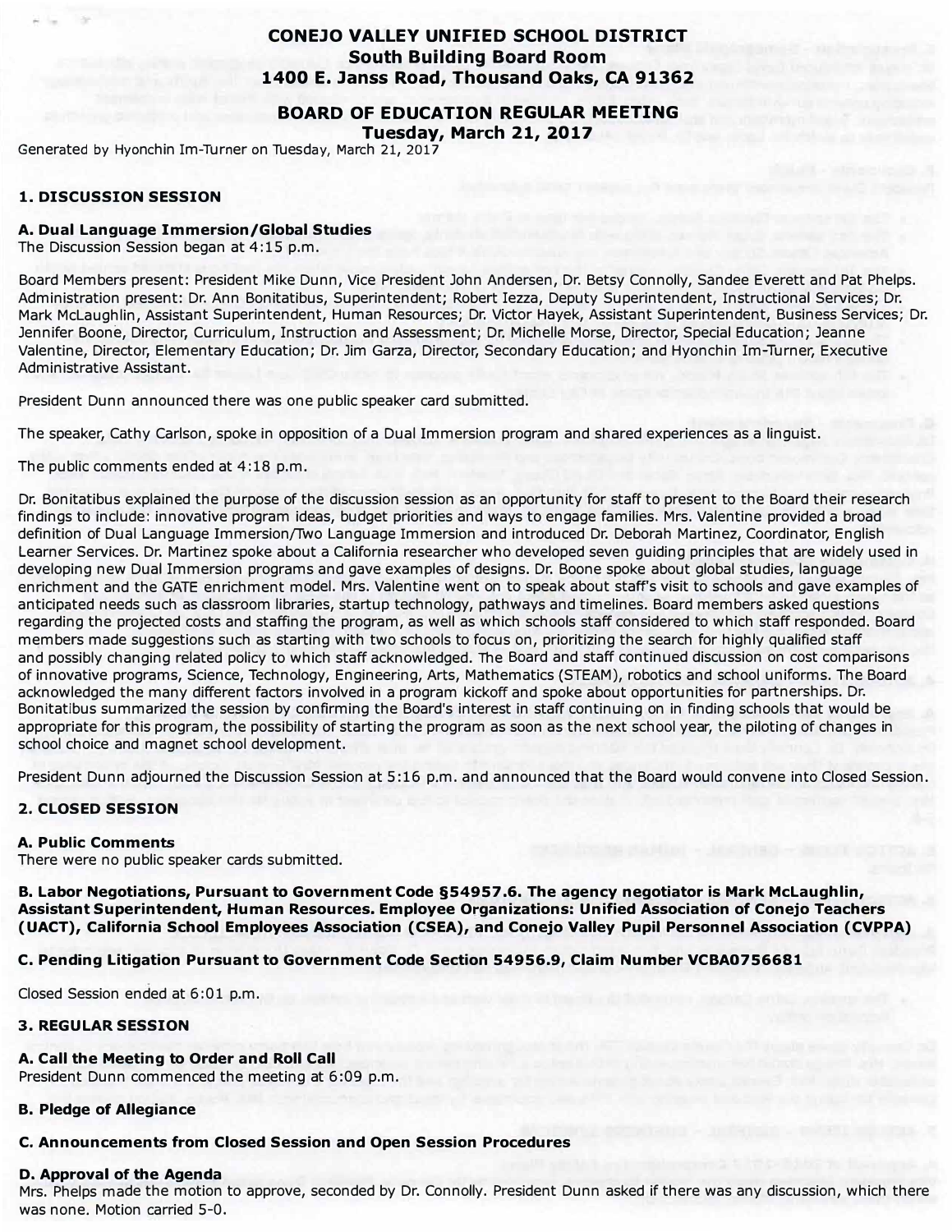## **CONEJO VALLEY UNIFIED SCHOOL DISTRICT South Building Board Room 1400 E. Janss Road, Thousand Oaks, CA 91362**

**BOARD OF EDUCATION REGULAR MEETING Tuesday, March 21, 2017** 

Generated by Hyonchin Im-Turner on Tuesday, March 21, 2017

#### **1. DISCUSSION SESSION**

#### **A. Dual Language Immersion/Global Studies**

The Discussion Session began at 4:15 p.m.

Board Members present: President Mike Dunn, Vice President John Andersen, Dr. Betsy Connolly, Sandee Everett and Pat Phelps. Administration present: Dr. Ann Bonitatibus, Superintendent; Robert Iezza, Deputy Superintendent, Instructional Services; Dr. Mark McLaughlin, Assistant Superintendent, Human Resources; Dr. Victor Hayek, Assistant Superintendent, Business Services; Dr. Jennifer Boone, Director, Curriculum, Instruction and Assessment; Dr. Michelle Morse, Director, Special Education; Jeanne Valentine, Director, Elementary Education; Dr. Jim Garza, Director, Secondary Education; and Hyonchin Im-Turner, Executive Administrative Assistant.

President Dunn announced there was one public speaker card submitted.

The speaker, Cathy Carlson, spoke in opposition of a Dual Immersion program and shared experiences as a linguist.

The public comments ended at 4:18 p.m.

Dr. Bon itatibus explained the purpose of the discussion session as an opportunity for staff to present to the Board their research findings to include: innovative program ideas, budget priorities and ways to engage families. Mrs. Valentine provided a broad definition of Dual Language Immersion/Two Language Immersion and introduced Dr. Deborah Martinez, Coordinator, English Learner Services. Dr. Martinez spoke about a California researcher who developed seven guiding principles that are widely used in developing new Dual Immersion programs and gave examples of designs. Dr. Boone spoke about global studies, language enrichment and the GATE enrichment model. Mrs. Valentine went on to speak about staff's visit to schools and gave examples of anticipated needs such as classroom libraries, startup technology, pathways and timelines. Board members asked questions regarding the projected costs and staffing the program, as well as which schools staff considered to which staff responded. Board members made suggestions such as starting with two schools to focus on, prioritizing the search for highly qualified staff and possibly changing related policy to which staff acknowledged. The Board and staff continued discussion on cost comparisons of innovative programs, Science, Technology, Engineering, Arts, Mathematics (STEAM), robotics and school uniforms. The Board acknowledged the many different factors involved in a program kickoff and spoke about opportunities for partnerships. Dr. Bonltatibus summarized the session by confirming the Board's interest in staff continuing on in finding schools that would be appropriate for this program, the possibility of starting the program as soon as the next school year, the piloting of changes in school choice and magnet school development.

President Dunn adjourned the Discussion Session at 5:16 p.m. and announced that the Board would convene into Closed Session.

## **2. CLOSED SESSION**

#### **A. Public Comments**

There were no public speaker cards submitted.

**B. Labor Negotiations, Pursuant to Government Code §54957 .6. The agency negotiator is Mark McLaughlin, Assistant Superintendent, Human Resources. Employee Organizations: Unified Association of Conejo Teachers (UACT), California School Employees Association (CSEA), and Conejo Valley Pupil Personnel Association (CVPPA)**

**C. Pending Litigation Pursuant to Government Code Section 54956.9, Claim Number VCBA0756681**

Closed Session ended at 6:01 p.m.

#### **3. REGULAR SESSION**

#### **A. Call the Meeting to Order and Roll Call**

President Dunn commenced the meeting at 6:09 p.m.

#### **B. Pledge of Allegiance**

#### **C. Announcements from Closed Session and Open Session Procedures**

#### **D, Approval of the Agenda**

Mrs. Phelps made the motion to approve, seconded by Dr. Connolly. President Dunn asked if there was any discussion, which there was none. Motion carried 5-0.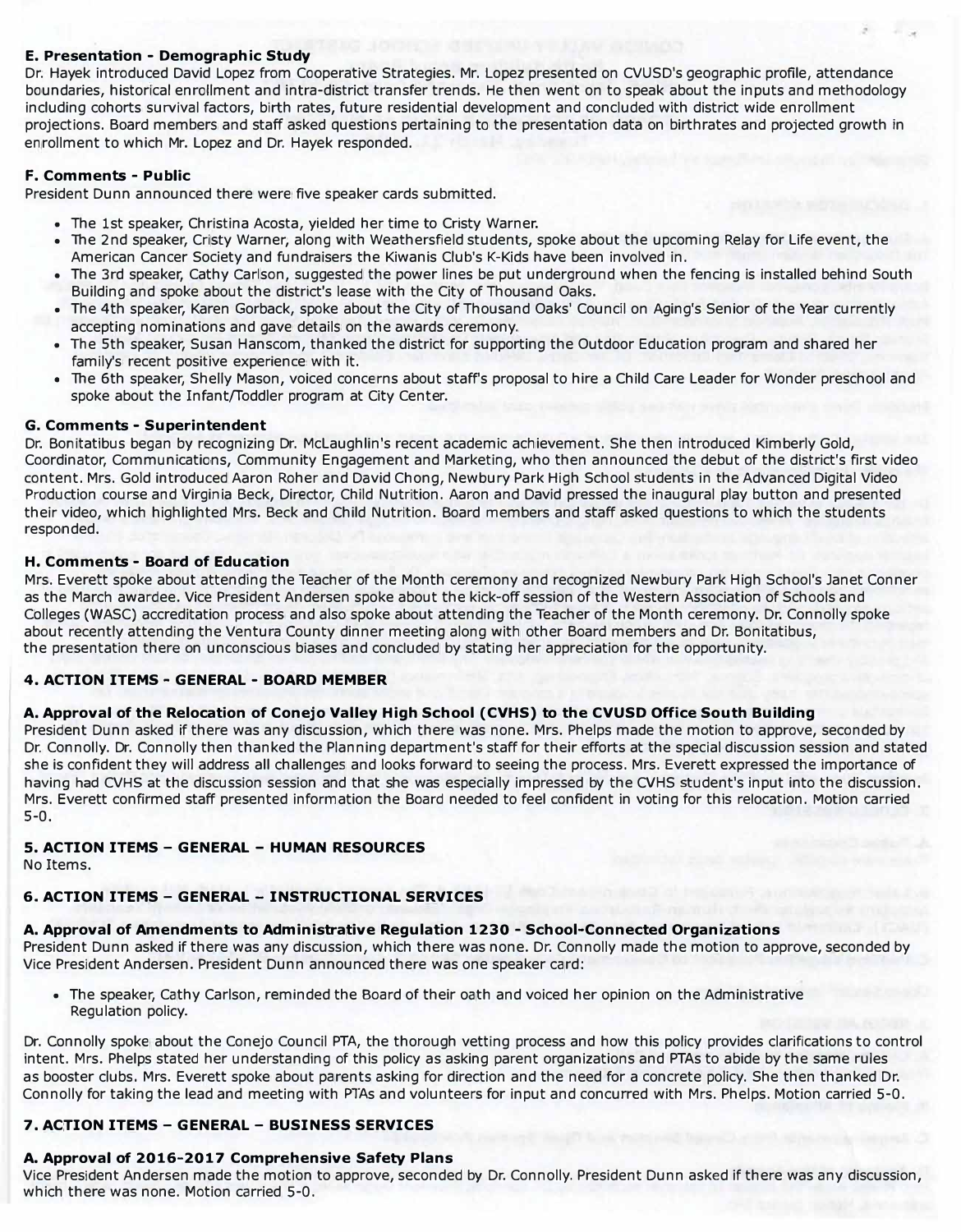## **E. Presentation - Demographic Study**

Dr. Hayek introduced David Lopez from Cooperative Strategies. Mr. Lopez presented on CVUSD's geographic profile , attendance boundaries, historical enrollment and intra-district transfer trends. He then went on to speak about the inputs and methodology including cohorts survival factors, birth rates, future residential development and concluded with district wide enrollment projections. Board members and staff asked questions pertaining to the presentation data on birthrates and projected growth in enrollment to which Mr. Lopez and Dr. Hayek responded.

## **F. Comments - Public**

President Dunn announced there were five speaker cards submitted.

- The 1st speaker, Christina Acosta, yielded her time to Cristy Warner.
- The 2nd speaker, Cristy Warner, along with Weathersfield students, spoke about the upcoming Relay for Life event, the American Cancer Society and fundraisers the Kiwanis Club's K-Kids have been involved in.
- The 3rd speaker, Cathy carlson , suggested the power lines be put underground when the fencing is installed behind South Building and spoke about the district's lease with the City of Thousand Oaks.
- The 4th speaker, Karen Gorback, spoke about the City of Thousand Oaks' Council on Aging's Senior of the Year currently accepting nominations and gave details on the awards ceremony.
- The 5th speaker, Susan Hanscom, thanked the district for supporting the Outdoor Education program and shared her family's recent positive experience with it.
- The 6th speaker, Shelly Mason, voiced concerns about staff's proposal to hire a Child Care Leader for Wonder preschool and spoke about the Infant/Toddler program at City Center.

### **G. Comments - Superintendent**

Dr. Bonitatibus began by recognizing Dr. McLaughlin's recent academic achievement. She then introduced Kimberly Gold, Coordinator, Communications, Community Engagement and Marketing, who then announced the debut of the district's first video content. Mrs. Gold introduced Aaron Roher and David Chong, Newbury Park High School students in the Advanced Digital Video Production course and Virginia Beck, Director, Child Nutrition. Aaron and David pressed the inaugural play button and presented their video, which highlighted Mrs. Beck and Child Nutrition. Board members and staff asked questions to which the students responded.

## **H. Comments - Board of Education**

Mrs. Everett spoke about attending the Teacher of the Month ceremony and recognized Newbury Park High School's Janet Conner as the March awardee. Vice President Andersen spoke about the kick-off session of the Western Association of Schools and Colleges (WASC) accreditation process and also spoke about attending the Teacher of the Month ceremony. Dr. Connolly spoke about recently attending the Ventura County dinner meeting along with other Board members and Dr. Bonitatibus, the presentation there on unconscious biases and concluded by stating her appreciation for the opportunity.

## **4. ACTION ITEMS - GENERAL - BOARD MEMBER**

## **A. Approval of the Relocation of Conejo Valley High School (CVHS) to the CVUSD Office South Building**

President Dunn asked if there was any discussion, which there was none. Mrs. Phelps made the motion to approve, seconded by Dr. Connolly. Dr. Connolly then thanked the Planning department's staff for their efforts at the special discussion session and stated she is confident they will address all challenges and looks forward to seeing the process. Mrs. Everett expressed the importance of having had CVHS at the discussion session and that she was especially impressed by the CVHS student's input into the discussion. Mrs. Everett confirmed staff presented information the Board needed to feel confident in voting for this relocation. Motion carried 5-0.

## **5. ACTION ITEMS - GENERAL - HUMAN RESOURCES**

No Items.

## **6. ACTION ITEMS - GENERAL - INSTRUCTIONAL SERVICES**

## **A. Approval of Amendments to Administrative Regulation 1230 - School-Connected Organizations**

President Dunn asked if there was any discussion, which there was none. Dr. Connolly made the motion to approve, seconded by Vice President Andersen. President Dunn announced there was one speaker card:

• The speaker, Cathy Carlson, reminded the Board of their oath and voiced her opinion on the Administrative Regulation policy.

Dr. Connolly spoke about the Conejo Council PTA, the thorough vetting process and how this policy provides clarifications to control intent. Mrs. Phelps stated her understanding of this policy as asking parent organizations and PTAs to abide by the same rules as booster clubs. Mrs. Everett spoke about parents asking for direction and the need for a concrete policy. She then thanked Dr. Connolly for taking the lead and meeting with PTAs and volunteers for input and concurred with Mrs. Phelps. Motion carried 5-0.

## **7. ACTION ITEMS - GENERAL - BUSINESS SERVICES**

## **A. Approval of 2016-2017 Comprehensive Safety Plans**

Vice President Andersen made the motion to approve, seconded by Dr. Connolly. President Dunn asked if there was any discussion, which there was none. Motion carried 5-0.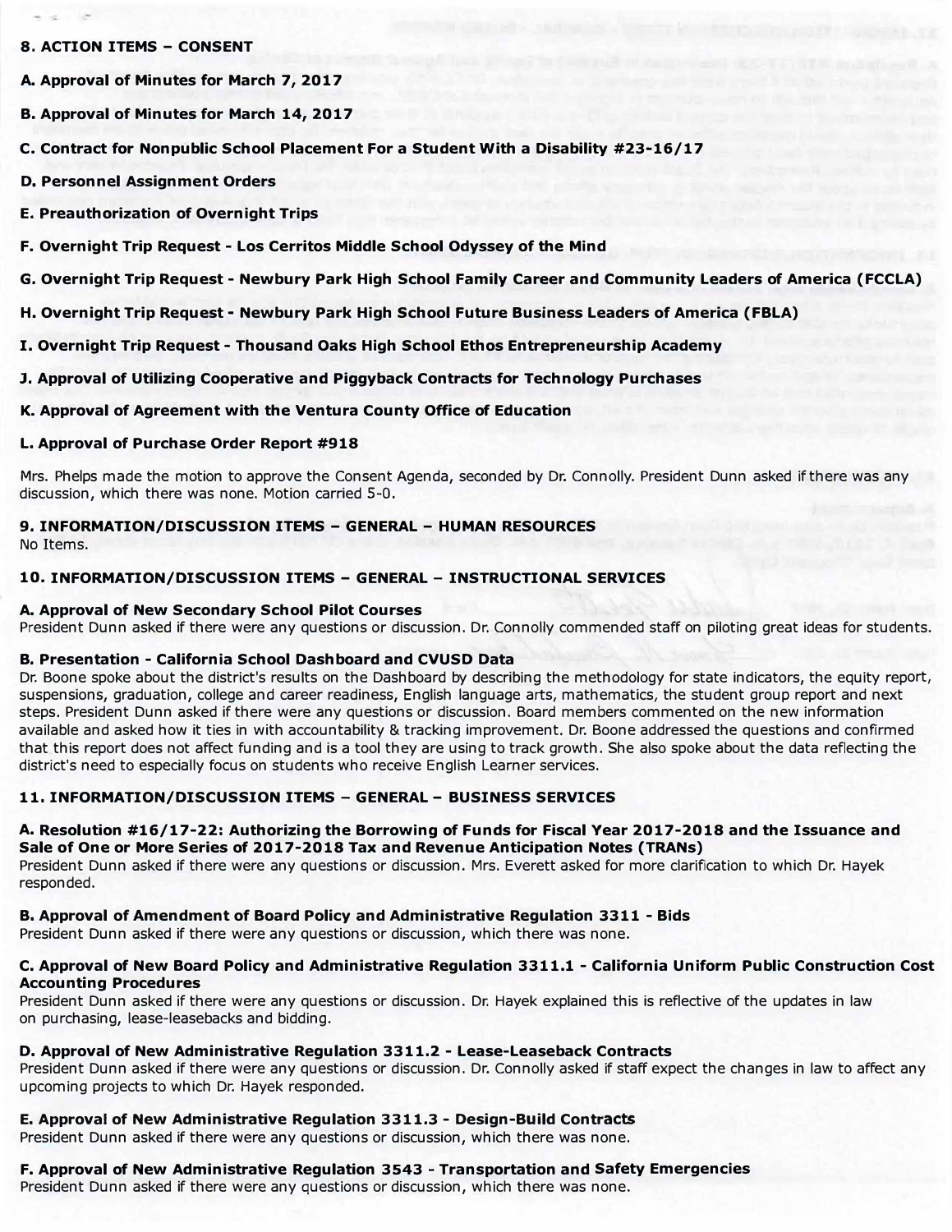#### **8. ACTION ITEMS - CONSENT**

- **A. Approval of Minutes for March 7, 2017**
- **B. Approval of Minutes for March 14, 2017**
- **C. Contract for Nonpublic School Placement For a Student With a Disability #23-16/17**
- **D. Personnel Assignment Orders**
- **E. Preauthorization of Overnight Trips**
- **F. Overnight Trip Request - Los Cerritos Middle School Odyssey of the Mind**
- **G. Overnight Trip Request - Newbury Park High School Family Career and Community Leaders of America (FCCLA)**
- **H. Overnight Trip Request - Newbury Park High School Future Business Leaders of America (FBLA)**
- **I. Overnight Trip Request - Thousand Oaks High School Ethos Entrepreneurship Academy**
- **J. Approval of Utilizing Cooperative and Piggyback Contracts for Technology Purchases**
- **K. Approval of Agreement with the Ventura County Office of Education**

## **L. Approval of Purchase Order Report #918**

Mrs. Phelps made the motion to approve the Consent Agenda, seconded by Dr. Connolly. President Dunn asked if there was any discussion, which there was none. Motion carried 5-0.

# **9. INFORMATION/DISCUSSION ITEMS - GENERAL - HUMAN RESOURCES**

**No** Items.

## **10. INFORMATION/DISCUSSION ITEMS - GENERAL - INSTRUCTIONAL SERVICES**

## **A. Approval of New Secondary School Pilot Courses**

President Dunn asked if there were any questions or discussion. Dr. Connolly commended staff on piloting great ideas for students.

## **B. Presentation - California School Dashboard and CVUSD Data**

Dr. Boone spoke about the district's results on the Dashboard by describing the methodology for state indicators, the equity report, suspensions, graduation, college and career readiness, English language arts, mathematics, the student group report and next steps. President Dunn asked if there were any questions or discussion. Board members commented on the new information available and asked how it ties in with accountability & tracking improvement. Dr. Boone addressed the questions and confirmed that this report does not affect funding and is a tool they are using to track growth. She also spoke about the data reflecting the district's need to especially focus on students who receive English Learner services.

## **11. INFORMATION/DISCUSSION ITEMS - GENERAL - BUSINESS SERVICES**

#### **A. Resolution #16/17-22: Authorizing the Borrowing of Funds for Fiscal Year 2017-2018 and the Issuance and Sale of One or More Series of 2017-2018 Tax and Revenue Anticipation Notes (TRANs)**

President Dunn asked if there were any questions or discussion. Mrs. Everett asked for more clarification to which Dr. Hayek responded.

## **B. Approval of Amendment of Board Policy and Administrative Regulation 3311 - Bids**

President Dunn asked if there were any questions or discussion, which there was none.

## **C. Approval of New Board Policy and Administrative Regulation 3311.1 - California Uniform Public Construction Cost Accounting Procedures**

President Dunn asked if there were any questions or discussion. Dr. Hayek explained this is reflective of the updates in law on purchasing, lease-leasebacks and bidding.

## **D. Approval of New Administrative Regulation 3311.2 - Lease-Leaseback Contracts**

President Dunn asked if there were any questions or discussion. Dr. Connolly asked if staff expect the changes in law to affect any upcoming projects to which Dr. Hayek responded.

## **E. Approval of New Administrative Regulation 3311.3 - Design-Build Contracts**

President Dunn asked if there were any questions or discussion, which there was none.

## **F. Approval of New Administrative Regulation 3543 - Transportation and Safety Emergencies**

President Dunn asked if there were any questions or discussion, which there was none.